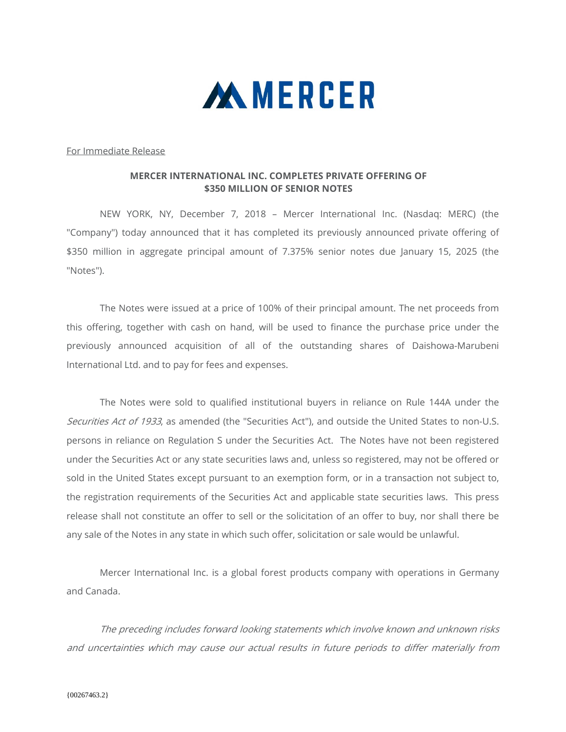

For Immediate Release

## **MERCER INTERNATIONAL INC. COMPLETES PRIVATE OFFERING OF \$350 MILLION OF SENIOR NOTES**

 NEW YORK, NY, December 7, 2018 – Mercer International Inc. (Nasdaq: MERC) (the "Company") today announced that it has completed its previously announced private offering of \$350 million in aggregate principal amount of 7.375% senior notes due January 15, 2025 (the "Notes").

The Notes were issued at a price of 100% of their principal amount. The net proceeds from this offering, together with cash on hand, will be used to finance the purchase price under the previously announced acquisition of all of the outstanding shares of Daishowa-Marubeni International Ltd. and to pay for fees and expenses.

The Notes were sold to qualified institutional buyers in reliance on Rule 144A under the Securities Act of 1933, as amended (the "Securities Act"), and outside the United States to non-U.S. persons in reliance on Regulation S under the Securities Act. The Notes have not been registered under the Securities Act or any state securities laws and, unless so registered, may not be offered or sold in the United States except pursuant to an exemption form, or in a transaction not subject to, the registration requirements of the Securities Act and applicable state securities laws. This press release shall not constitute an offer to sell or the solicitation of an offer to buy, nor shall there be any sale of the Notes in any state in which such offer, solicitation or sale would be unlawful.

Mercer International Inc. is a global forest products company with operations in Germany and Canada.

The preceding includes forward looking statements which involve known and unknown risks and uncertainties which may cause our actual results in future periods to differ materially from